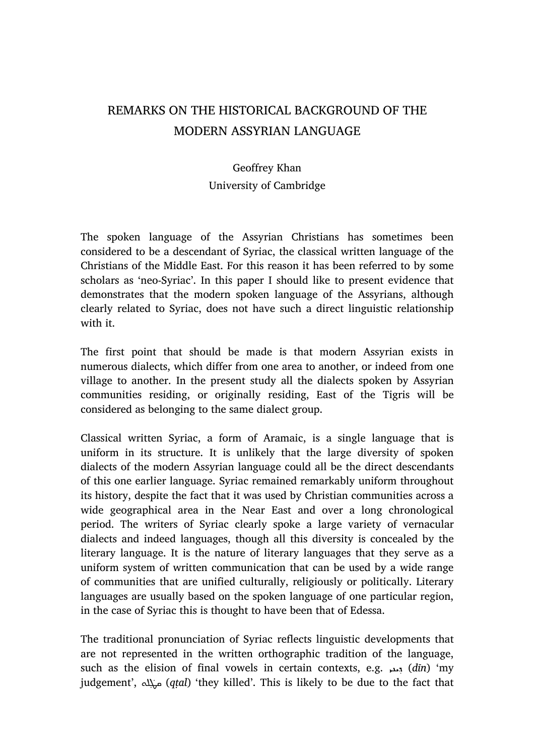## REMARKS ON THE HISTORICAL BACKGROUND OF THE MODERN ASSYRIAN LANGUAGE

## Geoffrey Khan University of Cambridge

The spoken language of the Assyrian Christians has sometimes been considered to be a descendant of Syriac, the classical written language of the Christians of the Middle East. For this reason it has been referred to by some scholars as 'neo-Syriac'. In this paper I should like to present evidence that demonstrates that the modern spoken language of the Assyrians, although clearly related to Syriac, does not have such a direct linguistic relationship with it.

The first point that should be made is that modern Assyrian exists in numerous dialects, which differ from one area to another, or indeed from one village to another. In the present study all the dialects spoken by Assyrian communities residing, or originally residing, East of the Tigris will be considered as belonging to the same dialect group.

Classical written Syriac, a form of Aramaic, is a single language that is uniform in its structure. It is unlikely that the large diversity of spoken dialects of the modern Assyrian language could all be the direct descendants of this one earlier language. Syriac remained remarkably uniform throughout its history, despite the fact that it was used by Christian communities across a wide geographical area in the Near East and over a long chronological period. The writers of Syriac clearly spoke a large variety of vernacular dialects and indeed languages, though all this diversity is concealed by the literary language. It is the nature of literary languages that they serve as a uniform system of written communication that can be used by a wide range of communities that are unified culturally, religiously or politically. Literary languages are usually based on the spoken language of one particular region, in the case of Syriac this is thought to have been that of Edessa.

The traditional pronunciation of Syriac reflects linguistic developments that are not represented in the written orthographic tradition of the language, such as the elision of final vowels in certain contexts, e.g. بند, (dīn) 'my judgement', من<mark>بله</mark> (qṭal) 'they killed'. This is likely to be due to the fact that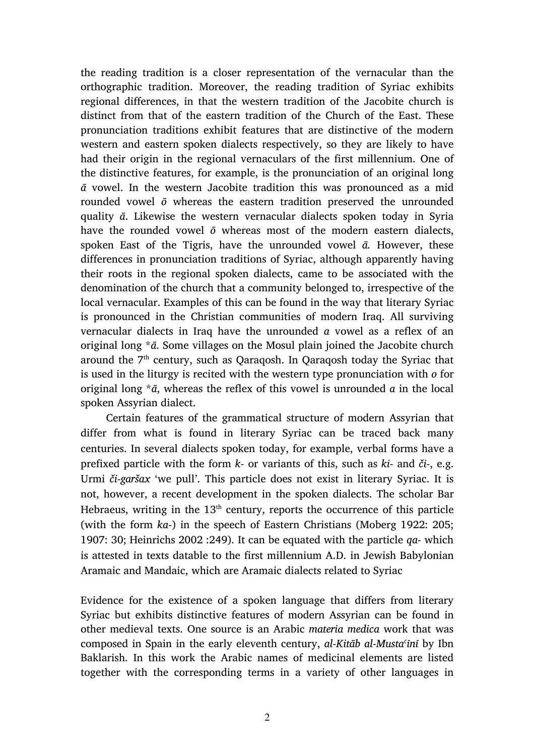the reading tradition is a closer representation of the vernacular than the orthographic tradition. Moreover, the reading tradition of Syriac exhibits regional differences, in that the western tradition of the Jacobite church is distinct from that of the eastern tradition of the Church of the East. These pronunciation traditions exhibit features that are distinctive of the modern western and eastern spoken dialects respectively, so they are likely to have had their origin in the regional vernaculars of the first millennium. One of the distinctive features, for example, is the pronunciation of an original long  $\bar{a}$  vowel. In the western Jacobite tradition this was pronounced as a mid rounded vowel ō whereas the eastern tradition preserved the unrounded quality ā. Likewise the western vernacular dialects spoken today in Syria have the rounded vowel  $\bar{o}$  whereas most of the modern eastern dialects, spoken East of the Tigris, have the unrounded vowel  $\bar{a}$ . However, these differences in pronunciation traditions of Syriac, although apparently having their roots in the regional spoken dialects, came to be associated with the denomination of the church that a community belonged to, irrespective of the local vernacular. Examples of this can be found in the way that literary Syriac is pronounced in the Christian communities of modern Iraq. All surviving vernacular dialects in Iraq have the unrounded a vowel as a reflex of an original long  $*\bar{a}$ . Some villages on the Mosul plain joined the Jacobite church around the 7<sup>th</sup> century, such as Qaraqosh. In Qaraqosh today the Syriac that is used in the liturgy is recited with the western type pronunciation with o for original long  $*\bar{a}$ , whereas the reflex of this vowel is unrounded  $\bar{a}$  in the local spoken Assyrian dialect.

Certain features of the grammatical structure of modern Assyrian that differ from what is found in literary Syriac can be traced back many centuries. In several dialects spoken today, for example, verbal forms have a prefixed particle with the form  $k$ - or variants of this, such as  $ki$ - and  $\check{c}i$ -, e.g. Urmi či-garšax 'we pull'. This particle does not exist in literary Syriac. It is not, however, a recent development in the spoken dialects. The scholar Bar Hebraeus, writing in the  $13<sup>th</sup>$  century, reports the occurrence of this particle (with the form ka-) in the speech of Eastern Christians (Moberg 1922: 205; 1907: 30; Heinrichs 2002 :249). It can be equated with the particle  $qa$ - which is attested in texts datable to the first millennium A.D. in Jewish Babylonian Aramaic and Mandaic, which are Aramaic dialects related to Syriac

Evidence for the existence of a spoken language that differs from literary Syriac but exhibits distinctive features of modern Assyrian can be found in other medieval texts. One source is an Arabic materia medica work that was composed in Spain in the early eleventh century, al-Kitāb al-Musta<sup>c</sup>īnī by Ibn Baklarish. In this work the Arabic names of medicinal elements are listed together with the corresponding terms in a variety of other languages in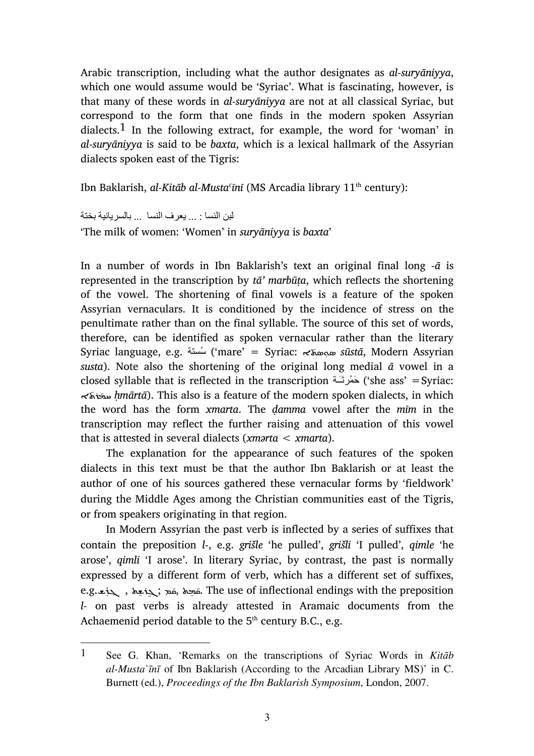Arabic transcription, including what the author designates as al-suryāniyya, which one would assume would be 'Syriac'. What is fascinating, however, is that many of these words in al-suryāniyya are not at all classical Syriac, but correspond to the form that one finds in the modern spoken Assyrian dialects.<sup>1</sup> In the following extract, for example, the word for 'woman' in al-suryāniyya is said to be baxta, which is a lexical hallmark of the Assyrian dialects spoken east of the Tigris:

Ibn Baklarish, al-Kitāb al-Musta<sup>c</sup>īnī (MS Arcadia library 11<sup>th</sup> century):

لبن النسا : ... يعرف النسا ... بالسريانية بختة

 $\overline{a}$ 

'The milk of women: 'Women' in suryāniyya is baxta'

In a number of words in Ibn Baklarish's text an original final long  $-\bar{a}$  is represented in the transcription by  $t\bar{a}'$  marbūta, which reflects the shortening of the vowel. The shortening of final vowels is a feature of the spoken Assyrian vernaculars. It is conditioned by the incidence of stress on the penultimate rather than on the final syllable. The source of this set of words, therefore, can be identified as spoken vernacular rather than the literary Syriac language, e.g. سُسنة ('mare' = Syriac: مجمعة  $s\bar u$ stā, Modern Assyrian susta). Note also the shortening of the original long medial  $\bar{a}$  vowel in a closed syllable that is reflected in the transcription  $\geq$  she ass' = Syriac:  $\kappa$ ه the modern spoken dialects, in which which with which the word has the form xmarta. The ḍamma vowel after the mīm in the transcription may reflect the further raising and attenuation of this vowel that is attested in several dialects (*xmarta*  $\lt$  *xmarta*).

The explanation for the appearance of such features of the spoken dialects in this text must be that the author Ibn Baklarish or at least the author of one of his sources gathered these vernacular forms by 'fieldwork' during the Middle Ages among the Christian communities east of the Tigris, or from speakers originating in that region.

In Modern Assyrian the past verb is inflected by a series of suffixes that contain the preposition l-, e.g. grišle 'he pulled', grišli 'I pulled', qimle 'he arose', qimli 'I arose'. In literary Syriac, by contrast, the past is normally expressed by a different form of verb, which has a different set of suffixes, e.g.قيدة , مَتَمّ بَتْعِة , كذبت . The use of inflectional endings with the preposition ׇ֦ׅ֚֘֡֡֡֡֡֡֡֝ ŗ ŗ l- on past verbs is already attested in Aramaic documents from the Achaemenid period datable to the  $5<sup>th</sup>$  century B.C., e.g.

<sup>1</sup> See G. Khan, 'Remarks on the transcriptions of Syriac Words in *Kit*ā*b al-Musta`*ī*n*ī of Ibn Baklarish (According to the Arcadian Library MS)' in C. Burnett (ed.), *Proceedings of the Ibn Baklarish Symposium*, London, 2007.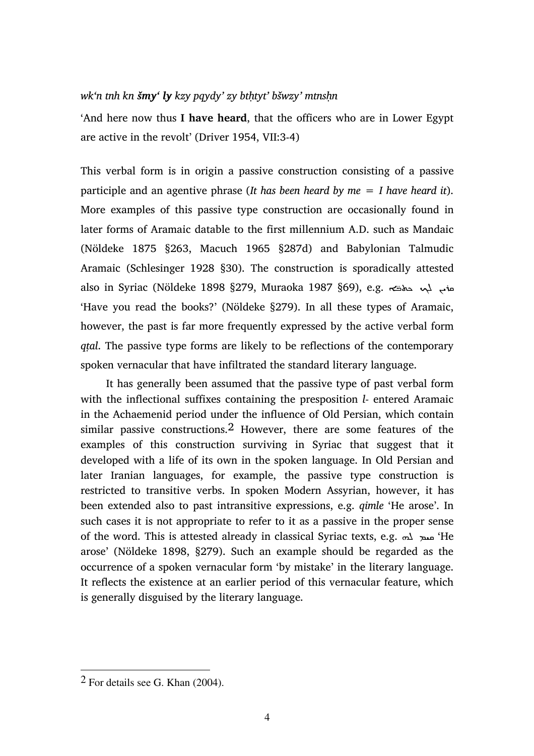## wk'n tnh kn šmy' ly kzy pqydy' zy bthtyt' bšwzy' mtnshn

'And here now thus I have heard, that the officers who are in Lower Egypt are active in the revolt' (Driver 1954, VII:3-4)

This verbal form is in origin a passive construction consisting of a passive participle and an agentive phrase (It has been heard by me  $= I$  have heard it). More examples of this passive type construction are occasionally found in later forms of Aramaic datable to the first millennium A.D. such as Mandaic (Nöldeke 1875 §263, Macuch 1965 §287d) and Babylonian Talmudic Aramaic (Schlesinger 1928 §30). The construction is sporadically attested also in Syriac (Nöldeke 1898 §279, Muraoka 1987 §69), e.g. حلاته المحمد المجموع وينبو المجموع التي ت 'Have you read the books?' (Nöldeke §279). In all these types of Aramaic, however, the past is far more frequently expressed by the active verbal form qṭal. The passive type forms are likely to be reflections of the contemporary spoken vernacular that have infiltrated the standard literary language.

It has generally been assumed that the passive type of past verbal form with the inflectional suffixes containing the presposition *l*- entered Aramaic in the Achaemenid period under the influence of Old Persian, which contain similar passive constructions.2 However, there are some features of the examples of this construction surviving in Syriac that suggest that it developed with a life of its own in the spoken language. In Old Persian and later Iranian languages, for example, the passive type construction is restricted to transitive verbs. In spoken Modern Assyrian, however, it has been extended also to past intransitive expressions, e.g. qimle 'He arose'. In such cases it is not appropriate to refer to it as a passive in the proper sense of the word. This is attested already in classical Syriac texts, e.g.  $\omega$   $\Delta$   $\omega$  'He arose' (Nöldeke 1898, §279). Such an example should be regarded as the occurrence of a spoken vernacular form 'by mistake' in the literary language. It reflects the existence at an earlier period of this vernacular feature, which is generally disguised by the literary language.

 $\overline{a}$ 

 $2$  For details see G. Khan (2004).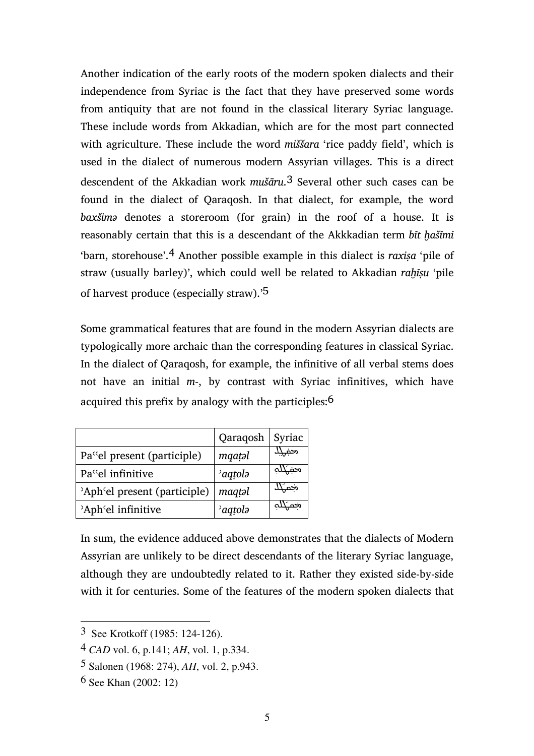Another indication of the early roots of the modern spoken dialects and their independence from Syriac is the fact that they have preserved some words from antiquity that are not found in the classical literary Syriac language. These include words from Akkadian, which are for the most part connected with agriculture. These include the word miššara 'rice paddy field', which is used in the dialect of numerous modern Assyrian villages. This is a direct descendent of the Akkadian work  $mu\bar{s}$  Several other such cases can be found in the dialect of Qaraqosh. In that dialect, for example, the word baxšimə denotes a storeroom (for grain) in the roof of a house. It is reasonably certain that this is a descendant of the Akkkadian term bit hašīmi 'barn, storehouse'.<sup>4</sup> Another possible example in this dialect is raxisa 'pile of straw (usually barley)', which could well be related to Akkadian rahīșu 'pile of harvest produce (especially straw).'5

Some grammatical features that are found in the modern Assyrian dialects are typologically more archaic than the corresponding features in classical Syriac. In the dialect of Qaraqosh, for example, the infinitive of all verbal stems does not have an initial  $m<sub>z</sub>$ , by contrast with Syriac infinitives, which have acquired this prefix by analogy with the participles:6

|                                                    | Qaraqosh            | Syriac |
|----------------------------------------------------|---------------------|--------|
| Pa <sup>cc</sup> el present (participle)           | mqatəl              | محفى   |
| Pa <sup>cc</sup> el infinitive                     | <sup>2</sup> aqtola | مخبهيب |
| 'Aph'el present (participle)                       | magtəl              | ضبلد   |
| <sup>2</sup> Aph <sup><i>c</i></sup> el infinitive | <sup>2</sup> aqtola |        |

In sum, the evidence adduced above demonstrates that the dialects of Modern Assyrian are unlikely to be direct descendants of the literary Syriac language, although they are undoubtedly related to it. Rather they existed side-by-side with it for centuries. Some of the features of the modern spoken dialects that

 $\overline{a}$ 

<sup>3</sup> See Krotkoff (1985: 124-126).

<sup>4</sup> *CAD* vol. 6, p.141; *AH*, vol. 1, p.334.

<sup>5</sup> Salonen (1968: 274), *AH*, vol. 2, p.943.

<sup>6</sup> See Khan (2002: 12)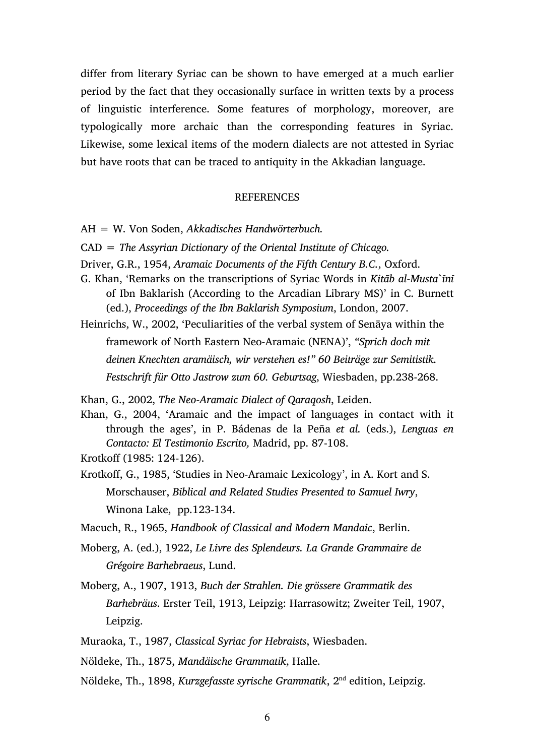differ from literary Syriac can be shown to have emerged at a much earlier period by the fact that they occasionally surface in written texts by a process of linguistic interference. Some features of morphology, moreover, are typologically more archaic than the corresponding features in Syriac. Likewise, some lexical items of the modern dialects are not attested in Syriac but have roots that can be traced to antiquity in the Akkadian language.

## **REFERENCES**

- AH = W. Von Soden, Akkadisches Handwörterbuch.
- $CAD = The Assyrian Dictionary of the Oriental Institute of Chicago.$
- Driver, G.R., 1954, Aramaic Documents of the Fifth Century B.C., Oxford.
- G. Khan, 'Remarks on the transcriptions of Syriac Words in Kitāb al-Musta`īnī of Ibn Baklarish (According to the Arcadian Library MS)' in C. Burnett (ed.), Proceedings of the Ibn Baklarish Symposium, London, 2007.
- Heinrichs, W., 2002, 'Peculiarities of the verbal system of Senāya within the framework of North Eastern Neo-Aramaic (NENA)', "Sprich doch mit deinen Knechten aramäisch, wir verstehen es!" 60 Beiträge zur Semitistik. Festschrift für Otto Jastrow zum 60. Geburtsag, Wiesbaden, pp.238-268.

Khan, G., 2002, The Neo-Aramaic Dialect of Qaraqosh, Leiden.

Khan, G., 2004, 'Aramaic and the impact of languages in contact with it through the ages', in P. Bádenas de la Peña et al. (eds.), Lenguas en Contacto: El Testimonio Escrito, Madrid, pp. 87-108.

Krotkoff (1985: 124-126).

Krotkoff, G., 1985, 'Studies in Neo-Aramaic Lexicology', in A. Kort and S. Morschauser, Biblical and Related Studies Presented to Samuel Iwry, Winona Lake, pp.123-134.

Macuch, R., 1965, Handbook of Classical and Modern Mandaic, Berlin.

- Moberg, A. (ed.), 1922, Le Livre des Splendeurs. La Grande Grammaire de Grégoire Barhebraeus, Lund.
- Moberg, A., 1907, 1913, Buch der Strahlen. Die grössere Grammatik des Barhebräus. Erster Teil, 1913, Leipzig: Harrasowitz; Zweiter Teil, 1907, Leipzig.
- Muraoka, T., 1987, Classical Syriac for Hebraists, Wiesbaden.
- Nöldeke, Th., 1875, Mandäische Grammatik, Halle.
- Nöldeke, Th., 1898, Kurzgefasste syrische Grammatik, 2nd edition, Leipzig.